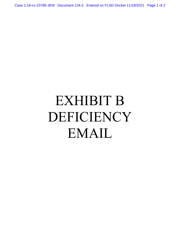Case 1:18-cv-23786-JEM Document 134-2 Entered on FLSD Docket 11/19/2021 Page 1 of 2

## EXHIBIT B DEFICIENCY EMAIL